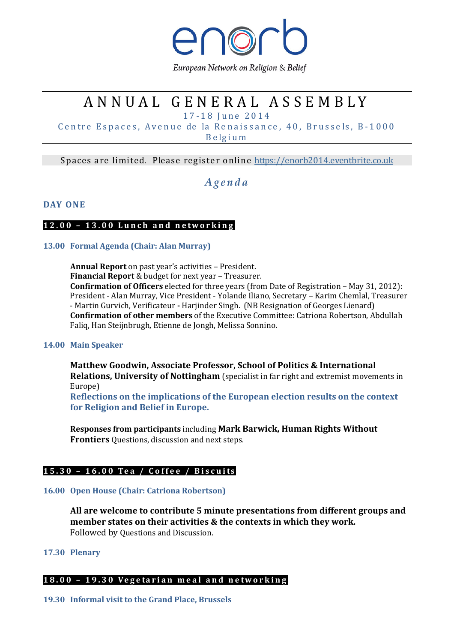

European Network on Religion & Belief

# A N N U A L G E N E R A L A S S E M B L Y

1 7 - 1 8 J u n e 2 0 1 4

Centre Espaces, Avenue de la Renaissance, 40, Brussels, B-1000 B e lg i u m

Spaces are limited. Please register online https://enorb2014.eventbrite.co.uk

# A g e n d a

### DAY ONE

#### 12.00 - 13.00 Lunch and networking

#### 13.00 Formal Agenda (Chair: Alan Murray)

Annual Report on past year's activities – President. Financial Report & budget for next year – Treasurer. Confirmation of Officers elected for three years (from Date of Registration – May 31, 2012): President - Alan Murray, Vice President - Yolande Iliano, Secretary – Karim Chemlal, Treasurer - Martin Gurvich, Verificateur - Harjinder Singh. (NB Resignation of Georges Lienard) Confirmation of other members of the Executive Committee: Catriona Robertson, Abdullah Faliq, Han Steijnbrugh, Etienne de Jongh, Melissa Sonnino.

#### 14.00 Main Speaker

Matthew Goodwin, Associate Professor, School of Politics & International Relations, University of Nottingham (specialist in far right and extremist movements in Europe)

Reflections on the implications of the European election results on the context for Religion and Belief in Europe.

Responses from participants including Mark Barwick, Human Rights Without Frontiers Questions, discussion and next steps.

# 15.30 - 16.00 Tea / Coffee / Biscuits

#### 16.00 Open House (Chair: Catriona Robertson)

All are welcome to contribute 5 minute presentations from different groups and member states on their activities & the contexts in which they work. Followed by Questions and Discussion.

# 17.30 Plenary

# 18.00 - 19.30 Vegetarian meal and networking

19.30 Informal visit to the Grand Place, Brussels